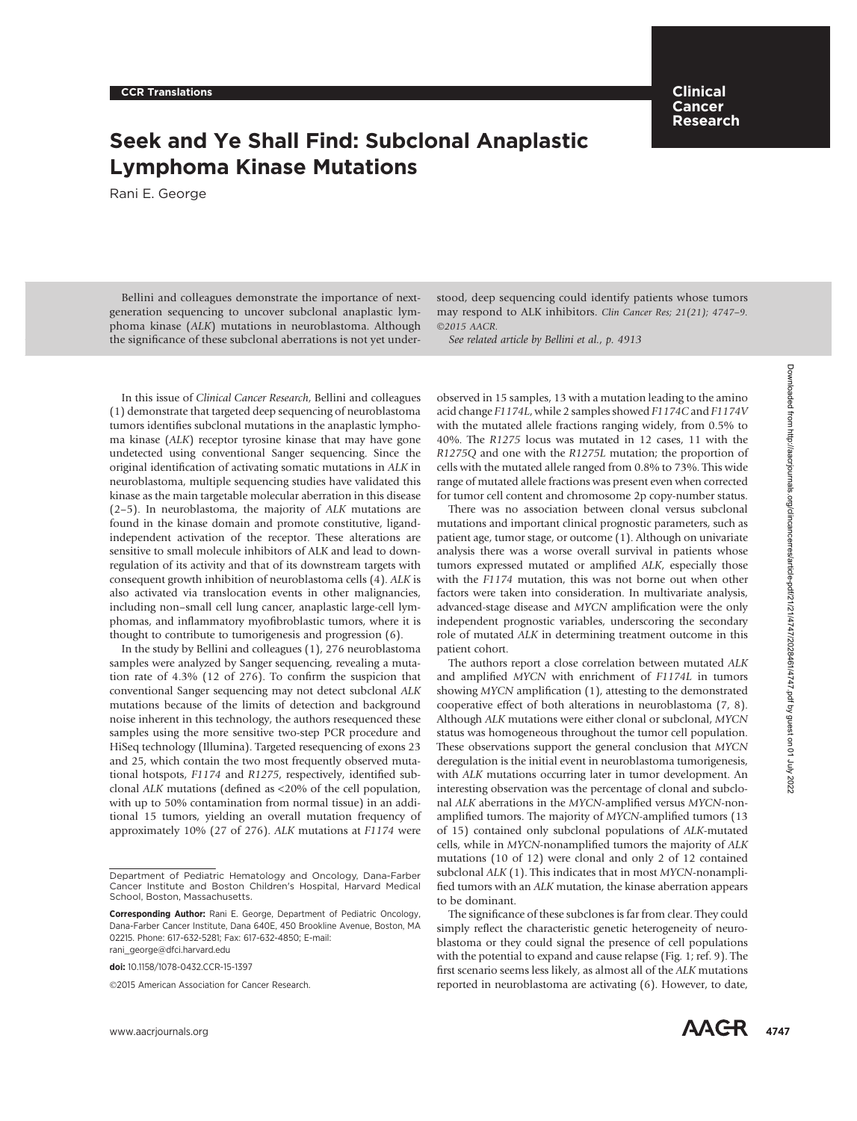Clinical Cancer Research

# Seek and Ye Shall Find: Subclonal Anaplastic Lymphoma Kinase Mutations

Rani E. George

Bellini and colleagues demonstrate the importance of nextgeneration sequencing to uncover subclonal anaplastic lymphoma kinase (ALK) mutations in neuroblastoma. Although the significance of these subclonal aberrations is not yet understood, deep sequencing could identify patients whose tumors may respond to ALK inhibitors. Clin Cancer Res; 21(21); 4747–9. ©2015 AACR.

See related article by Bellini et al., p. 4913

In this issue of Clinical Cancer Research, Bellini and colleagues (1) demonstrate that targeted deep sequencing of neuroblastoma tumors identifies subclonal mutations in the anaplastic lymphoma kinase (ALK) receptor tyrosine kinase that may have gone undetected using conventional Sanger sequencing. Since the original identification of activating somatic mutations in ALK in neuroblastoma, multiple sequencing studies have validated this kinase as the main targetable molecular aberration in this disease (2–5). In neuroblastoma, the majority of ALK mutations are found in the kinase domain and promote constitutive, ligandindependent activation of the receptor. These alterations are sensitive to small molecule inhibitors of ALK and lead to downregulation of its activity and that of its downstream targets with consequent growth inhibition of neuroblastoma cells (4). ALK is also activated via translocation events in other malignancies, including non–small cell lung cancer, anaplastic large-cell lymphomas, and inflammatory myofibroblastic tumors, where it is thought to contribute to tumorigenesis and progression (6).

In the study by Bellini and colleagues (1), 276 neuroblastoma samples were analyzed by Sanger sequencing, revealing a mutation rate of 4.3% (12 of 276). To confirm the suspicion that conventional Sanger sequencing may not detect subclonal ALK mutations because of the limits of detection and background noise inherent in this technology, the authors resequenced these samples using the more sensitive two-step PCR procedure and HiSeq technology (Illumina). Targeted resequencing of exons 23 and 25, which contain the two most frequently observed mutational hotspots, F1174 and R1275, respectively, identified subclonal ALK mutations (defined as <20% of the cell population, with up to 50% contamination from normal tissue) in an additional 15 tumors, yielding an overall mutation frequency of approximately 10% (27 of 276). ALK mutations at F1174 were

doi: 10.1158/1078-0432.CCR-15-1397

2015 American Association for Cancer Research.

observed in 15 samples, 13 with a mutation leading to the amino acid change F1174L, while 2 samples showed F1174C and F1174V with the mutated allele fractions ranging widely, from 0.5% to 40%. The R1275 locus was mutated in 12 cases, 11 with the R1275Q and one with the R1275L mutation; the proportion of cells with the mutated allele ranged from 0.8% to 73%. This wide range of mutated allele fractions was present even when corrected for tumor cell content and chromosome 2p copy-number status.

There was no association between clonal versus subclonal mutations and important clinical prognostic parameters, such as patient age, tumor stage, or outcome (1). Although on univariate analysis there was a worse overall survival in patients whose tumors expressed mutated or amplified ALK, especially those with the F1174 mutation, this was not borne out when other factors were taken into consideration. In multivariate analysis, advanced-stage disease and MYCN amplification were the only independent prognostic variables, underscoring the secondary role of mutated ALK in determining treatment outcome in this patient cohort.

The authors report a close correlation between mutated ALK and amplified MYCN with enrichment of F1174L in tumors showing MYCN amplification (1), attesting to the demonstrated cooperative effect of both alterations in neuroblastoma (7, 8). Although ALK mutations were either clonal or subclonal, MYCN status was homogeneous throughout the tumor cell population. These observations support the general conclusion that MYCN deregulation is the initial event in neuroblastoma tumorigenesis, with ALK mutations occurring later in tumor development. An interesting observation was the percentage of clonal and subclonal ALK aberrations in the MYCN-amplified versus MYCN-nonamplified tumors. The majority of MYCN-amplified tumors (13 of 15) contained only subclonal populations of ALK-mutated cells, while in MYCN-nonamplified tumors the majority of ALK mutations (10 of 12) were clonal and only 2 of 12 contained subclonal ALK (1). This indicates that in most MYCN-nonamplified tumors with an ALK mutation, the kinase aberration appears to be dominant. To this issue of Cliental Conter Roosen), Nellin and redistinger, observed in 15 carples, 14724 Mile 2 carples about the particle of the cliental Clienta contents (1747-2022) (1747-2022) (1747-2022) (1747-2022) (1747-2022

The significance of these subclones is far from clear. They could simply reflect the characteristic genetic heterogeneity of neuroblastoma or they could signal the presence of cell populations with the potential to expand and cause relapse (Fig. 1; ref. 9). The first scenario seems less likely, as almost all of the ALK mutations reported in neuroblastoma are activating (6). However, to date,

Department of Pediatric Hematology and Oncology, Dana-Farber Cancer Institute and Boston Children's Hospital, Harvard Medical School, Boston, Massachusetts.

Corresponding Author: Rani E. George, Department of Pediatric Oncology, Dana-Farber Cancer Institute, Dana 640E, 450 Brookline Avenue, Boston, MA 02215. Phone: 617-632-5281; Fax: 617-632-4850; E-mail: rani\_george@dfci.harvard.edu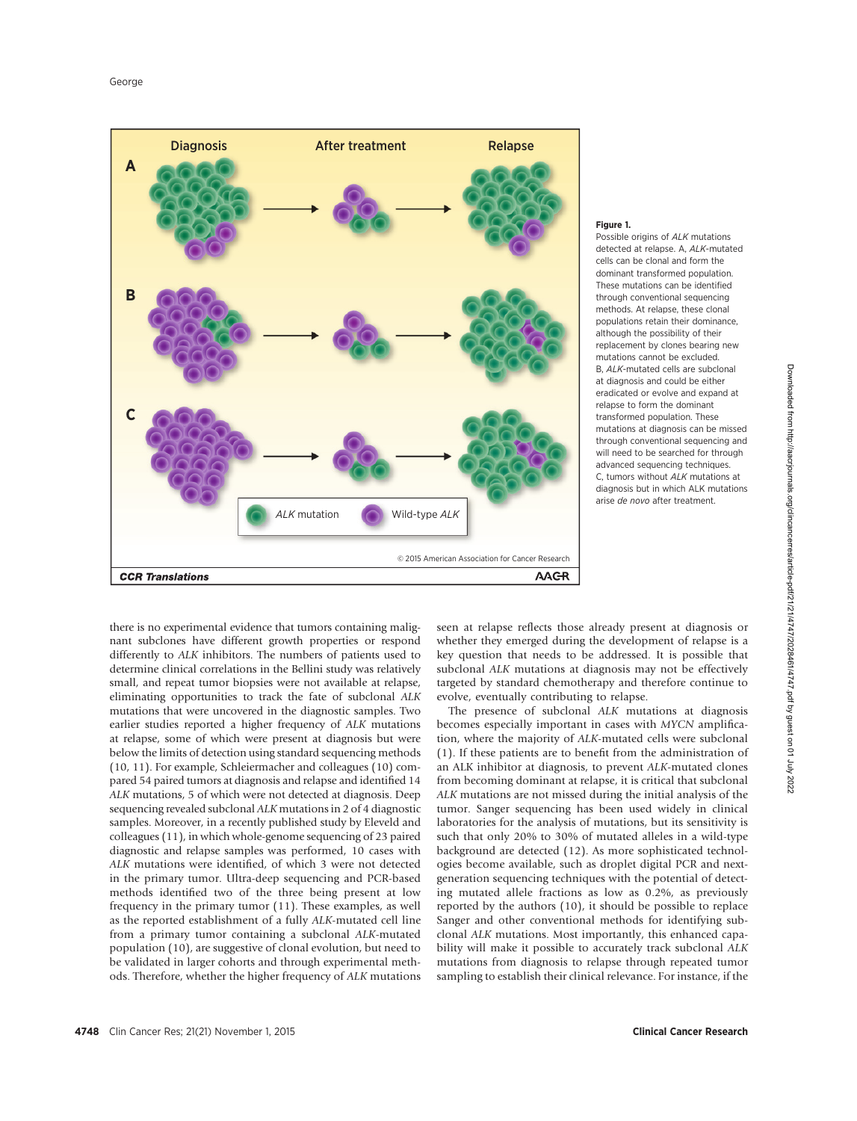

#### Figure 1.

Possible origins of ALK mutations detected at relapse. A, ALK-mutated cells can be clonal and form the dominant transformed population. These mutations can be identified through conventional sequencing methods. At relapse, these clonal populations retain their dominance, although the possibility of their replacement by clones bearing new mutations cannot be excluded. B, ALK-mutated cells are subclonal at diagnosis and could be either eradicated or evolve and expand at relapse to form the dominant transformed population. These mutations at diagnosis can be missed through conventional sequencing and will need to be searched for through advanced sequencing techniques. C, tumors without ALK mutations at diagnosis but in which ALK mutations arise de novo after treatment.

there is no experimental evidence that tumors containing malignant subclones have different growth properties or respond differently to ALK inhibitors. The numbers of patients used to determine clinical correlations in the Bellini study was relatively small, and repeat tumor biopsies were not available at relapse, eliminating opportunities to track the fate of subclonal ALK mutations that were uncovered in the diagnostic samples. Two earlier studies reported a higher frequency of ALK mutations at relapse, some of which were present at diagnosis but were below the limits of detection using standard sequencing methods (10, 11). For example, Schleiermacher and colleagues (10) compared 54 paired tumors at diagnosis and relapse and identified 14 ALK mutations, 5 of which were not detected at diagnosis. Deep sequencing revealed subclonal ALK mutations in 2 of 4 diagnostic samples. Moreover, in a recently published study by Eleveld and colleagues (11), in which whole-genome sequencing of 23 paired diagnostic and relapse samples was performed, 10 cases with ALK mutations were identified, of which 3 were not detected in the primary tumor. Ultra-deep sequencing and PCR-based methods identified two of the three being present at low frequency in the primary tumor (11). These examples, as well as the reported establishment of a fully ALK-mutated cell line from a primary tumor containing a subclonal ALK-mutated population (10), are suggestive of clonal evolution, but need to be validated in larger cohorts and through experimental methods. Therefore, whether the higher frequency of ALK mutations

seen at relapse reflects those already present at diagnosis or whether they emerged during the development of relapse is a key question that needs to be addressed. It is possible that subclonal ALK mutations at diagnosis may not be effectively targeted by standard chemotherapy and therefore continue to evolve, eventually contributing to relapse.

The presence of subclonal ALK mutations at diagnosis becomes especially important in cases with MYCN amplification, where the majority of ALK-mutated cells were subclonal (1). If these patients are to benefit from the administration of an ALK inhibitor at diagnosis, to prevent ALK-mutated clones from becoming dominant at relapse, it is critical that subclonal ALK mutations are not missed during the initial analysis of the tumor. Sanger sequencing has been used widely in clinical laboratories for the analysis of mutations, but its sensitivity is such that only 20% to 30% of mutated alleles in a wild-type background are detected (12). As more sophisticated technologies become available, such as droplet digital PCR and nextgeneration sequencing techniques with the potential of detecting mutated allele fractions as low as 0.2%, as previously reported by the authors (10), it should be possible to replace Sanger and other conventional methods for identifying subclonal ALK mutations. Most importantly, this enhanced capability will make it possible to accurately track subclonal ALK mutations from diagnosis to relapse through repeated tumor sampling to establish their clinical relevance. For instance, if the